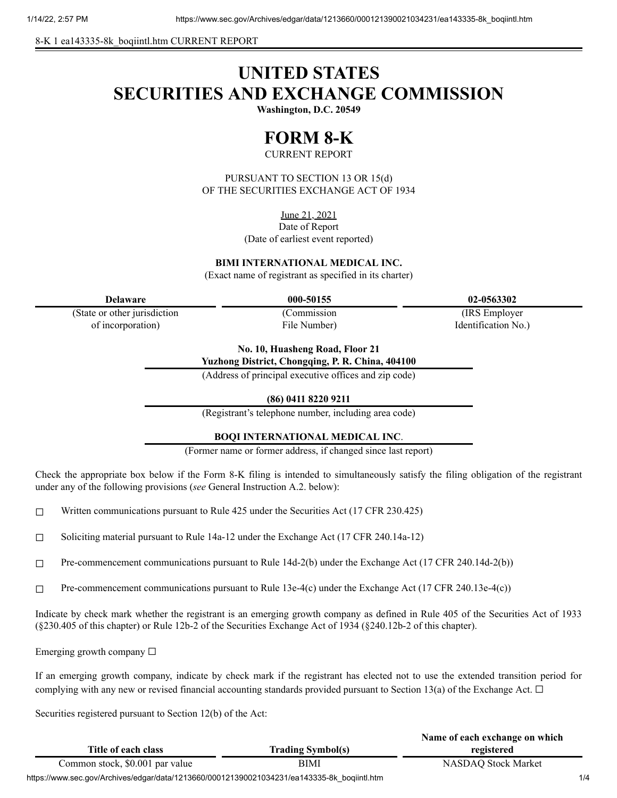8-K 1 ea143335-8k\_boqiintl.htm CURRENT REPORT

# **UNITED STATES SECURITIES AND EXCHANGE COMMISSION**

**Washington, D.C. 20549**

## **FORM 8-K**

CURRENT REPORT

PURSUANT TO SECTION 13 OR 15(d) OF THE SECURITIES EXCHANGE ACT OF 1934

June 21, 2021

Date of Report (Date of earliest event reported)

**BIMI INTERNATIONAL MEDICAL INC.**

(Exact name of registrant as specified in its charter)

(State or other jurisdiction of incorporation)

(Commission File Number)

**Delaware 000-50155 02-0563302**

(IRS Employer Identification No.)

**No. 10, Huasheng Road, Floor 21**

**Yuzhong District, Chongqing, P. R. China, 404100**

(Address of principal executive offices and zip code)

**(86) 0411 8220 9211**

(Registrant's telephone number, including area code)

## **BOQI INTERNATIONAL MEDICAL INC**.

(Former name or former address, if changed since last report)

Check the appropriate box below if the Form 8-K filing is intended to simultaneously satisfy the filing obligation of the registrant under any of the following provisions (*see* General Instruction A.2. below):

 $\Box$  Written communications pursuant to Rule 425 under the Securities Act (17 CFR 230.425)

☐ Soliciting material pursuant to Rule 14a-12 under the Exchange Act (17 CFR 240.14a-12)

☐ Pre-commencement communications pursuant to Rule 14d-2(b) under the Exchange Act (17 CFR 240.14d-2(b))

 $\Box$  Pre-commencement communications pursuant to Rule 13e-4(c) under the Exchange Act (17 CFR 240.13e-4(c))

Indicate by check mark whether the registrant is an emerging growth company as defined in Rule 405 of the Securities Act of 1933 (§230.405 of this chapter) or Rule 12b-2 of the Securities Exchange Act of 1934 (§240.12b-2 of this chapter).

Emerging growth company  $\Box$ 

If an emerging growth company, indicate by check mark if the registrant has elected not to use the extended transition period for complying with any new or revised financial accounting standards provided pursuant to Section 13(a) of the Exchange Act.  $\Box$ 

Securities registered pursuant to Section 12(b) of the Act:

|                                                                                             |                                 |                          | Name of each exchange on which |     |
|---------------------------------------------------------------------------------------------|---------------------------------|--------------------------|--------------------------------|-----|
|                                                                                             | Title of each class             | <b>Trading Symbol(s)</b> | registered                     |     |
|                                                                                             | Common stock, \$0.001 par value | <b>BIMI</b>              | NASDAO Stock Market            |     |
| https://www.sec.gov/Archives/edgar/data/1213660/000121390021034231/ea143335-8k bogjintl.htm |                                 |                          |                                | 1/4 |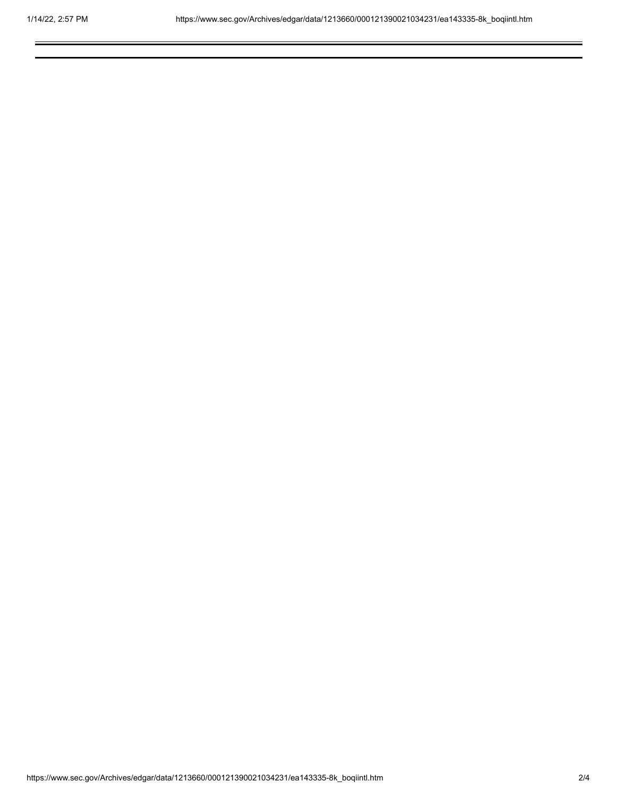Ė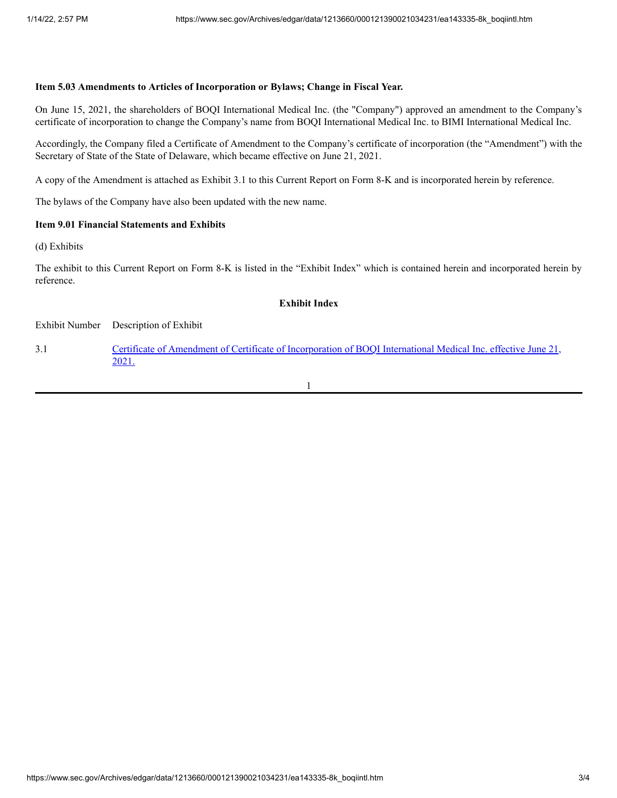#### **Item 5.03 Amendments to Articles of Incorporation or Bylaws; Change in Fiscal Year.**

On June 15, 2021, the shareholders of BOQI International Medical Inc. (the "Company") approved an amendment to the Company's certificate of incorporation to change the Company's name from BOQI International Medical Inc. to BIMI International Medical Inc.

Accordingly, the Company filed a Certificate of Amendment to the Company's certificate of incorporation (the "Amendment") with the Secretary of State of the State of Delaware, which became effective on June 21, 2021.

A copy of the Amendment is attached as Exhibit 3.1 to this Current Report on Form 8-K and is incorporated herein by reference.

The bylaws of the Company have also been updated with the new name.

#### **Item 9.01 Financial Statements and Exhibits**

(d) Exhibits

The exhibit to this Current Report on Form 8-K is listed in the "Exhibit Index" which is contained herein and incorporated herein by reference.

#### **Exhibit Index**

Exhibit Number Description of Exhibit

3.1 Certificate of Amendment of Certificate of [Incorporation](https://www.sec.gov/Archives/edgar/data/1213660/000121390021034231/ea143335ex3-1_boqiintl.htm) of BOQI International Medical Inc. effective June 21, 2021.

$$
1 \\
$$